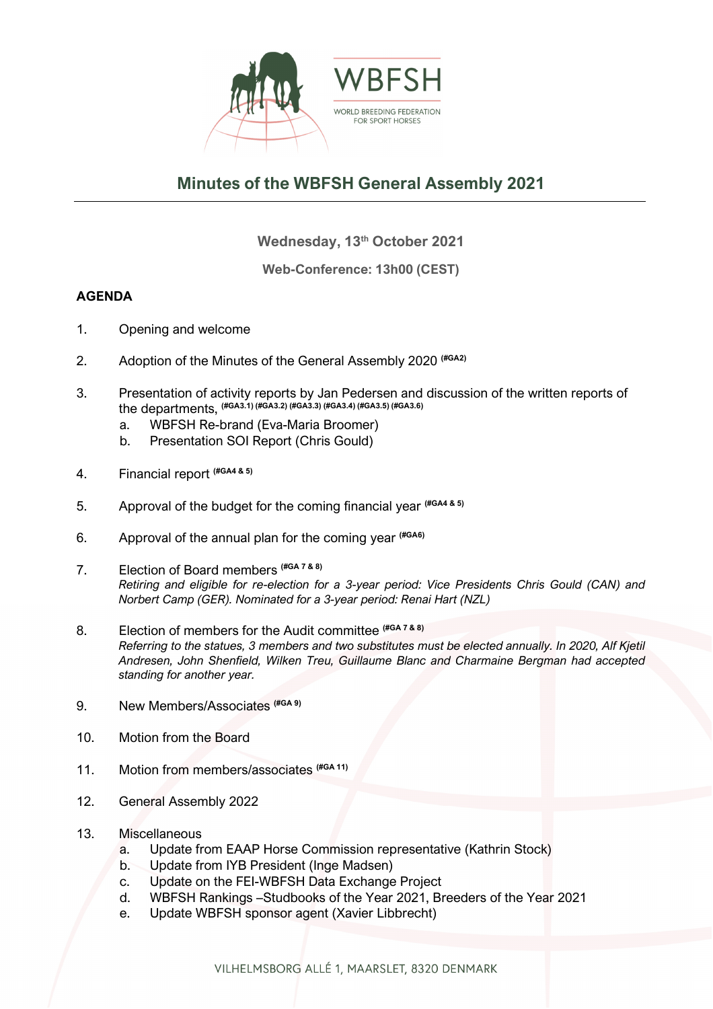

# **Minutes of the WBFSH General Assembly 2021**

**Wednesday, 13th October 2021** 

**Web-Conference: 13h00 (CEST)** 

### **AGENDA**

- 1. Opening and welcome
- 2. Adoption of the Minutes of the General Assembly 2020 **(#GA2)**
- 3. Presentation of activity reports by Jan Pedersen and discussion of the written reports of the departments, **(#GA3.1) (#GA3.2) (#GA3.3) (#GA3.4) (#GA3.5) (#GA3.6)** 
	- a. WBFSH Re-brand (Eva-Maria Broomer)
	- b. Presentation SOI Report (Chris Gould)
- 4. Financial report **(#GA4 & 5)**
- 5. Approval of the budget for the coming financial year **(#GA4 & 5)**
- 6. Approval of the annual plan for the coming year **(#GA6)**
- 7. Election of Board members **(#GA 7 & 8)** *Retiring and eligible for re-election for a 3-year period: Vice Presidents Chris Gould (CAN) and Norbert Camp (GER). Nominated for a 3-year period: Renai Hart (NZL)*
- 8. Election of members for the Audit committee **(#GA 7 & 8)** *Referring to the statues, 3 members and two substitutes must be elected annually. In 2020, Alf Kjetil Andresen, John Shenfield, Wilken Treu, Guillaume Blanc and Charmaine Bergman had accepted standing for another year.*
- 9. New Members/Associates **(#GA 9)**
- 10. Motion from the Board
- 11. Motion from members/associates **(#GA 11)**
- 12. General Assembly 2022
- 13. Miscellaneous
	- a. Update from EAAP Horse Commission representative (Kathrin Stock)
	- b. Update from IYB President (Inge Madsen)
	- c. Update on the FEI-WBFSH Data Exchange Project
	- d. WBFSH Rankings –Studbooks of the Year 2021, Breeders of the Year 2021
	- e. Update WBFSH sponsor agent (Xavier Libbrecht)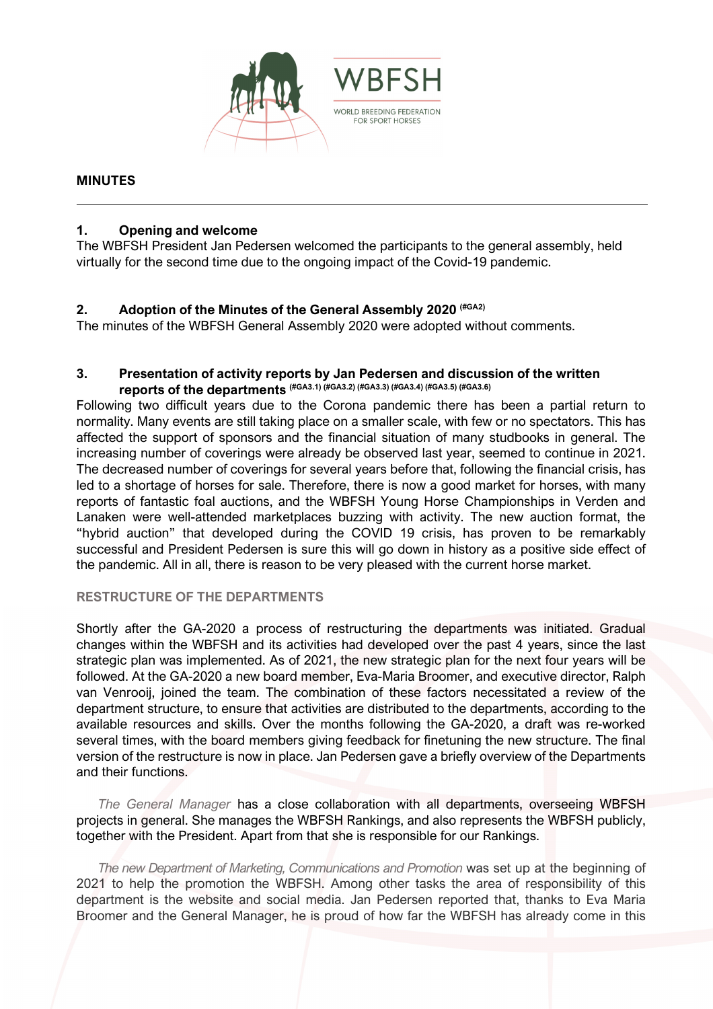

### **MINUTES**

### **1. Opening and welcome**

The WBFSH President Jan Pedersen welcomed the participants to the general assembly, held virtually for the second time due to the ongoing impact of the Covid-19 pandemic.

## **2. Adoption of the Minutes of the General Assembly 2020 (#GA2)**

The minutes of the WBFSH General Assembly 2020 were adopted without comments.

### **3. Presentation of activity reports by Jan Pedersen and discussion of the written reports of the departments (#GA3.1) (#GA3.2) (#GA3.3) (#GA3.4) (#GA3.5) (#GA3.6)**

Following two difficult years due to the Corona pandemic there has been a partial return to normality. Many events are still taking place on a smaller scale, with few or no spectators. This has affected the support of sponsors and the financial situation of many studbooks in general. The increasing number of coverings were already be observed last year, seemed to continue in 2021. The decreased number of coverings for several years before that, following the financial crisis, has led to a shortage of horses for sale. Therefore, there is now a good market for horses, with many reports of fantastic foal auctions, and the WBFSH Young Horse Championships in Verden and Lanaken were well-attended marketplaces buzzing with activity. The new auction format, the "hybrid auction" that developed during the COVID 19 crisis, has proven to be remarkably successful and President Pedersen is sure this will go down in history as a positive side effect of the pandemic. All in all, there is reason to be very pleased with the current horse market.

### **RESTRUCTURE OF THE DEPARTMENTS**

Shortly after the GA-2020 a process of restructuring the departments was initiated. Gradual changes within the WBFSH and its activities had developed over the past 4 years, since the last strategic plan was implemented. As of 2021, the new strategic plan for the next four years will be followed. At the GA-2020 a new board member, Eva-Maria Broomer, and executive director, Ralph van Venrooij, joined the team. The combination of these factors necessitated a review of the department structure, to ensure that activities are distributed to the departments, according to the available resources and skills. Over the months following the GA-2020, a draft was re-worked several times, with the board members giving feedback for finetuning the new structure. The final version of the restructure is now in place. Jan Pedersen gave a briefly overview of the Departments and their functions.

*The General Manager* has a close collaboration with all departments, overseeing WBFSH projects in general. She manages the WBFSH Rankings, and also represents the WBFSH publicly, together with the President. Apart from that she is responsible for our Rankings.

*The new Department of Marketing, Communications and Promotion* was set up at the beginning of 2021 to help the promotion the WBFSH. Among other tasks the area of responsibility of this department is the website and social media. Jan Pedersen reported that, thanks to Eva Maria Broomer and the General Manager, he is proud of how far the WBFSH has already come in this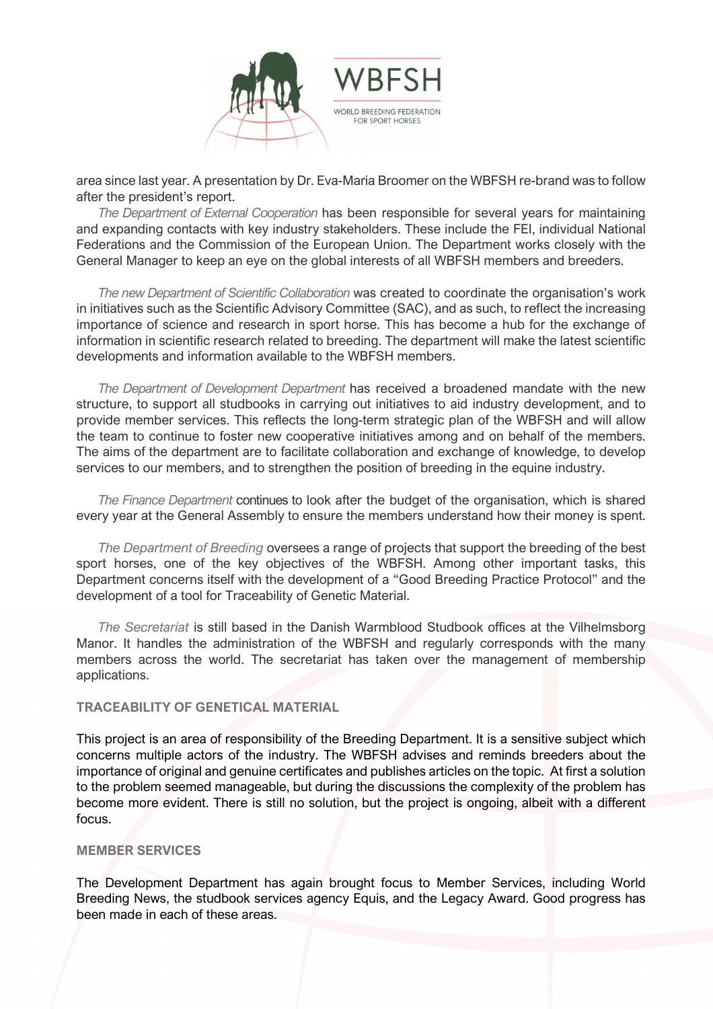

area since last year. A presentation by Dr. Eva-Maria Broomer on the WBFSH re-brand was to follow after the president's report.

*The Department of External Cooperation* has been responsible for several years for maintaining and expanding contacts with key industry stakeholders. These include the FEI, individual National Federations and the Commission of the European Union. The Department works closely with the General Manager to keep an eye on the global interests of all WBFSH members and breeders.

*The new Department of Scientific Collaboration* was created to coordinate the organisation's work in initiatives such as the Scientific Advisory Committee (SAC), and as such, to reflect the increasing importance of science and research in sport horse. This has become a hub for the exchange of information in scientific research related to breeding. The department will make the latest scientific developments and information available to the WBFSH members.

*The Department of Development Department* has received a broadened mandate with the new structure, to support all studbooks in carrying out initiatives to aid industry development, and to provide member services. This reflects the long-term strategic plan of the WBFSH and will allow the team to continue to foster new cooperative initiatives among and on behalf of the members. The aims of the department are to facilitate collaboration and exchange of knowledge, to develop services to our members, and to strengthen the position of breeding in the equine industry.

*The Finance Department* continues to look after the budget of the organisation, which is shared every year at the General Assembly to ensure the members understand how their money is spent.

*The Department of Breeding* oversees a range of projects that support the breeding of the best sport horses, one of the key objectives of the WBFSH. Among other important tasks, this Department concerns itself with the development of a "Good Breeding Practice Protocol" and the development of a tool for Traceability of Genetic Material.

*The Secretariat* is still based in the Danish Warmblood Studbook offices at the Vilhelmsborg Manor. It handles the administration of the WBFSH and regularly corresponds with the many members across the world. The secretariat has taken over the management of membership applications.

#### **TRACEABILITY OF GENETICAL MATERIAL**

This project is an area of responsibility of the Breeding Department. It is a sensitive subject which concerns multiple actors of the industry. The WBFSH advises and reminds breeders about the importance of original and genuine certificates and publishes articles on the topic. At first a solution to the problem seemed manageable, but during the discussions the complexity of the problem has become more evident. There is still no solution, but the project is ongoing, albeit with a different focus.

#### **MEMBER SERVICES**

The Development Department has again brought focus to Member Services, including World Breeding News, the studbook services agency Equis, and the Legacy Award. Good progress has been made in each of these areas.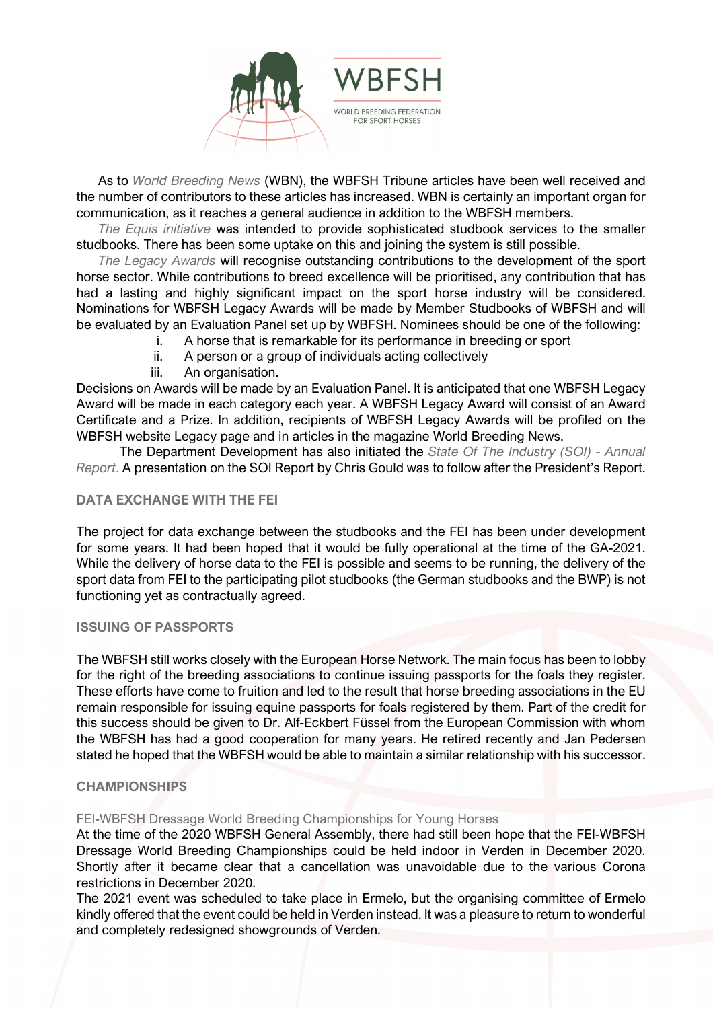

As to *World Breeding News* (WBN), the WBFSH Tribune articles have been well received and the number of contributors to these articles has increased. WBN is certainly an important organ for communication, as it reaches a general audience in addition to the WBFSH members.

*The Equis initiative* was intended to provide sophisticated studbook services to the smaller studbooks. There has been some uptake on this and joining the system is still possible.

*The Legacy Awards* will recognise outstanding contributions to the development of the sport horse sector. While contributions to breed excellence will be prioritised, any contribution that has had a lasting and highly significant impact on the sport horse industry will be considered. Nominations for WBFSH Legacy Awards will be made by Member Studbooks of WBFSH and will be evaluated by an Evaluation Panel set up by WBFSH. Nominees should be one of the following:

- i. A horse that is remarkable for its performance in breeding or sport
- ii. A person or a group of individuals acting collectively
- iii. An organisation.

Decisions on Awards will be made by an Evaluation Panel. It is anticipated that one WBFSH Legacy Award will be made in each category each year. A WBFSH Legacy Award will consist of an Award Certificate and a Prize. In addition, recipients of WBFSH Legacy Awards will be profiled on the WBFSH website Legacy page and in articles in the magazine World Breeding News.

The Department Development has also initiated the *State Of The Industry (SOI) - Annual Report*. A presentation on the SOI Report by Chris Gould was to follow after the President's Report.

### **DATA EXCHANGE WITH THE FEI**

The project for data exchange between the studbooks and the FEI has been under development for some years. It had been hoped that it would be fully operational at the time of the GA-2021. While the delivery of horse data to the FEI is possible and seems to be running, the delivery of the sport data from FEI to the participating pilot studbooks (the German studbooks and the BWP) is not functioning yet as contractually agreed.

#### **ISSUING OF PASSPORTS**

The WBFSH still works closely with the European Horse Network. The main focus has been to lobby for the right of the breeding associations to continue issuing passports for the foals they register. These efforts have come to fruition and led to the result that horse breeding associations in the EU remain responsible for issuing equine passports for foals registered by them. Part of the credit for this success should be given to Dr. Alf-Eckbert Füssel from the European Commission with whom the WBFSH has had a good cooperation for many years. He retired recently and Jan Pedersen stated he hoped that the WBFSH would be able to maintain a similar relationship with his successor.

#### **CHAMPIONSHIPS**

#### FEI-WBFSH Dressage World Breeding Championships for Young Horses

At the time of the 2020 WBFSH General Assembly, there had still been hope that the FEI-WBFSH Dressage World Breeding Championships could be held indoor in Verden in December 2020. Shortly after it became clear that a cancellation was unavoidable due to the various Corona restrictions in December 2020.

The 2021 event was scheduled to take place in Ermelo, but the organising committee of Ermelo kindly offered that the event could be held in Verden instead. It was a pleasure to return to wonderful and completely redesigned showgrounds of Verden.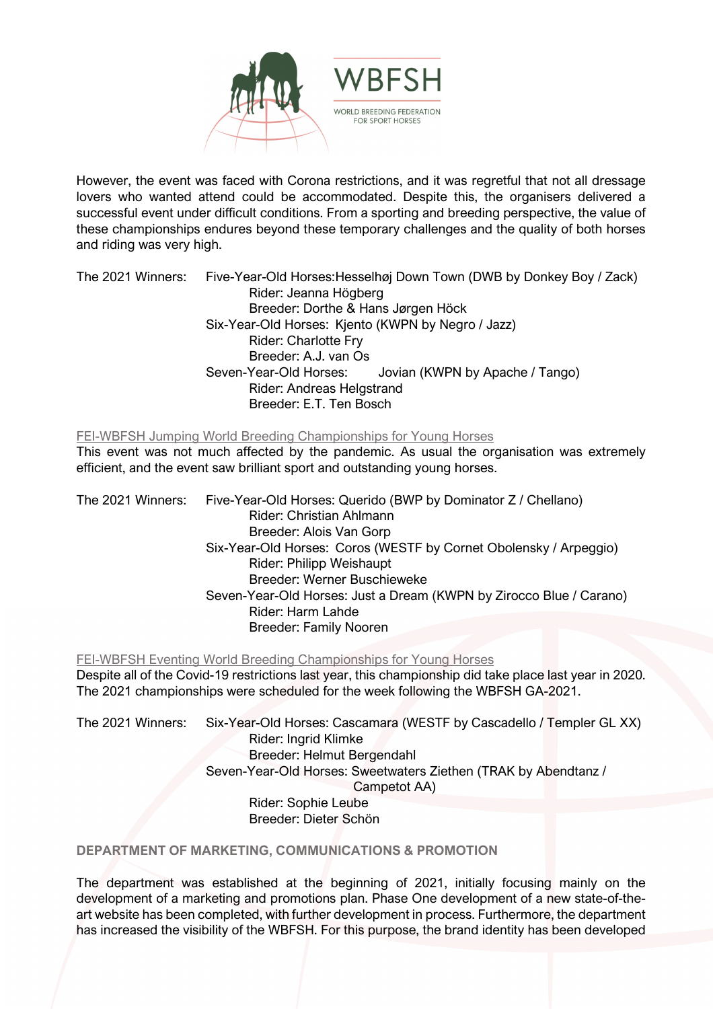

However, the event was faced with Corona restrictions, and it was regretful that not all dressage lovers who wanted attend could be accommodated. Despite this, the organisers delivered a successful event under difficult conditions. From a sporting and breeding perspective, the value of these championships endures beyond these temporary challenges and the quality of both horses and riding was very high.

The 2021 Winners: Five-Year-Old Horses: Hesselhøj Down Town (DWB by Donkey Boy / Zack) Rider: Jeanna Högberg Breeder: Dorthe & Hans Jørgen Höck Six-Year-Old Horses: Kjento (KWPN by Negro / Jazz) Rider: Charlotte Fry Breeder: A.J. van Os Seven-Year-Old Horses: Jovian (KWPN by Apache / Tango) Rider: Andreas Helgstrand Breeder: E.T. Ten Bosch

FEI-WBFSH Jumping World Breeding Championships for Young Horses

This event was not much affected by the pandemic. As usual the organisation was extremely efficient, and the event saw brilliant sport and outstanding young horses.

| The 2021 Winners: | Five-Year-Old Horses: Querido (BWP by Dominator Z / Chellano)       |
|-------------------|---------------------------------------------------------------------|
|                   | Rider: Christian Ahlmann                                            |
|                   | Breeder: Alois Van Gorp                                             |
|                   | Six-Year-Old Horses: Coros (WESTF by Cornet Obolensky / Arpeggio)   |
|                   | <b>Rider: Philipp Weishaupt</b>                                     |
|                   | Breeder: Werner Buschieweke                                         |
|                   | Seven-Year-Old Horses: Just a Dream (KWPN by Zirocco Blue / Carano) |
|                   | Rider: Harm Lahde                                                   |
|                   | <b>Breeder: Family Nooren</b>                                       |

FEI-WBFSH Eventing World Breeding Championships for Young Horses

Despite all of the Covid-19 restrictions last year, this championship did take place last year in 2020. The 2021 championships were scheduled for the week following the WBFSH GA-2021.

The 2021 Winners: Six-Year-Old Horses: Cascamara (WESTF by Cascadello / Templer GL XX) Rider: Ingrid Klimke Breeder: Helmut Bergendahl Seven-Year-Old Horses: Sweetwaters Ziethen (TRAK by Abendtanz / Campetot AA) Rider: Sophie Leube Breeder: Dieter Schön

#### **DEPARTMENT OF MARKETING, COMMUNICATIONS & PROMOTION**

The department was established at the beginning of 2021, initially focusing mainly on the development of a marketing and promotions plan. Phase One development of a new state-of-theart website has been completed, with further development in process. Furthermore, the department has increased the visibility of the WBFSH. For this purpose, the brand identity has been developed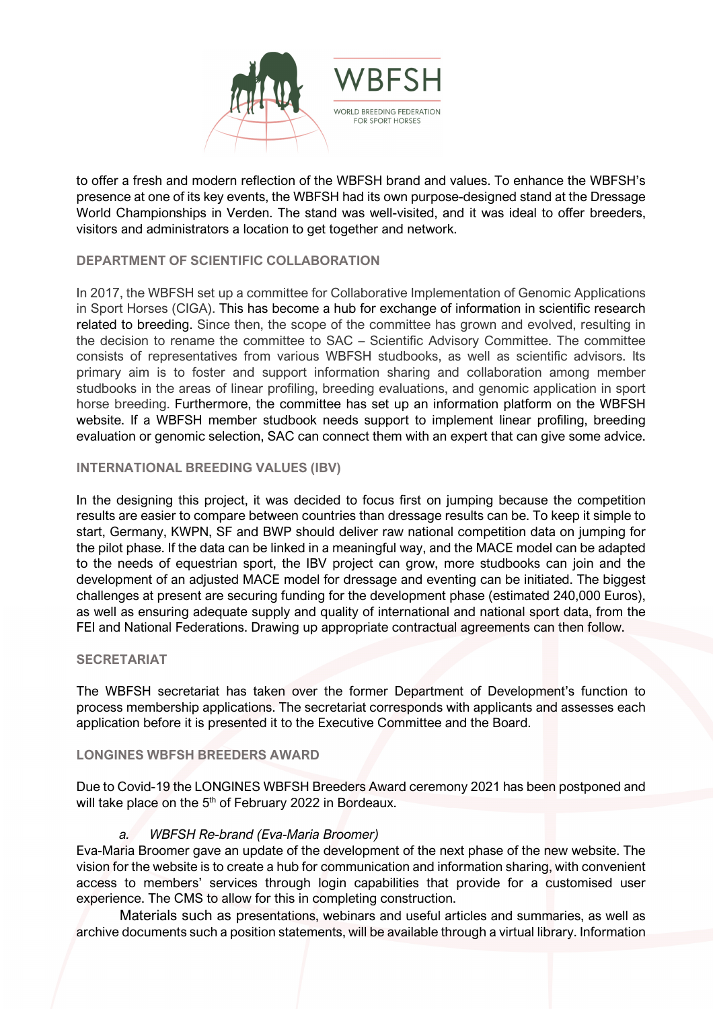

to offer a fresh and modern reflection of the WBFSH brand and values. To enhance the WBFSH's presence at one of its key events, the WBFSH had its own purpose-designed stand at the Dressage World Championships in Verden. The stand was well-visited, and it was ideal to offer breeders, visitors and administrators a location to get together and network.

### **DEPARTMENT OF SCIENTIFIC COLLABORATION**

In 2017, the WBFSH set up a committee for Collaborative Implementation of Genomic Applications in Sport Horses (CIGA). This has become a hub for exchange of information in scientific research related to breeding. Since then, the scope of the committee has grown and evolved, resulting in the decision to rename the committee to SAC – Scientific Advisory Committee. The committee consists of representatives from various WBFSH studbooks, as well as scientific advisors. Its primary aim is to foster and support information sharing and collaboration among member studbooks in the areas of linear profiling, breeding evaluations, and genomic application in sport horse breeding. Furthermore, the committee has set up an information platform on the WBFSH website. If a WBFSH member studbook needs support to implement linear profiling, breeding evaluation or genomic selection, SAC can connect them with an expert that can give some advice.

#### **INTERNATIONAL BREEDING VALUES (IBV)**

In the designing this project, it was decided to focus first on jumping because the competition results are easier to compare between countries than dressage results can be. To keep it simple to start, Germany, KWPN, SF and BWP should deliver raw national competition data on jumping for the pilot phase. If the data can be linked in a meaningful way, and the MACE model can be adapted to the needs of equestrian sport, the IBV project can grow, more studbooks can join and the development of an adjusted MACE model for dressage and eventing can be initiated. The biggest challenges at present are securing funding for the development phase (estimated 240,000 Euros), as well as ensuring adequate supply and quality of international and national sport data, from the FEI and National Federations. Drawing up appropriate contractual agreements can then follow.

#### **SECRETARIAT**

The WBFSH secretariat has taken over the former Department of Development's function to process membership applications. The secretariat corresponds with applicants and assesses each application before it is presented it to the Executive Committee and the Board.

### **LONGINES WBFSH BREEDERS AWARD**

Due to Covid-19 the LONGINES WBFSH Breeders Award ceremony 2021 has been postponed and will take place on the 5<sup>th</sup> of February 2022 in Bordeaux.

#### *a. WBFSH Re-brand (Eva-Maria Broomer)*

Eva-Maria Broomer gave an update of the development of the next phase of the new website. The vision for the website is to create a hub for communication and information sharing, with convenient access to members' services through login capabilities that provide for a customised user experience. The CMS to allow for this in completing construction.

Materials such as presentations, webinars and useful articles and summaries, as well as archive documents such a position statements, will be available through a virtual library. Information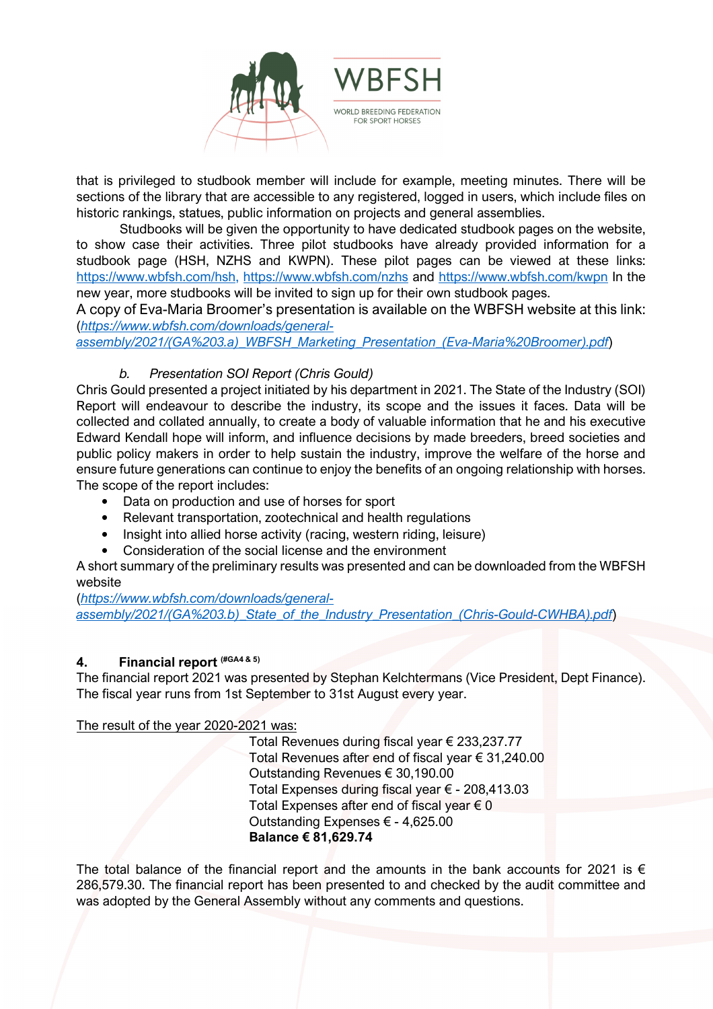

that is privileged to studbook member will include for example, meeting minutes. There will be sections of the library that are accessible to any registered, logged in users, which include files on historic rankings, statues, public information on projects and general assemblies.

Studbooks will be given the opportunity to have dedicated studbook pages on the website, to show case their activities. Three pilot studbooks have already provided information for a studbook page (HSH, NZHS and KWPN). These pilot pages can be viewed at these links: https://www.wbfsh.com/hsh, https://www.wbfsh.com/nzhs and https://www.wbfsh.com/kwpn In the new year, more studbooks will be invited to sign up for their own studbook pages.

A copy of Eva-Maria Broomer's presentation is available on the WBFSH website at this link: (*https://www.wbfsh.com/downloads/general-*

*assembly/2021/(GA%203.a)\_WBFSH\_Marketing\_Presentation\_(Eva-Maria%20Broomer).pdf*)

### *b. Presentation SOI Report (Chris Gould)*

Chris Gould presented a project initiated by his department in 2021. The State of the Industry (SOI) Report will endeavour to describe the industry, its scope and the issues it faces. Data will be collected and collated annually, to create a body of valuable information that he and his executive Edward Kendall hope will inform, and influence decisions by made breeders, breed societies and public policy makers in order to help sustain the industry, improve the welfare of the horse and ensure future generations can continue to enjoy the benefits of an ongoing relationship with horses. The scope of the report includes:

- Data on production and use of horses for sport
- Relevant transportation, zootechnical and health regulations
- Insight into allied horse activity (racing, western riding, leisure)
- Consideration of the social license and the environment

A short summary of the preliminary results was presented and can be downloaded from the WBFSH website

(*https://www.wbfsh.com/downloads/generalassembly/2021/(GA%203.b)\_State\_of\_the\_Industry\_Presentation\_(Chris-Gould-CWHBA).pdf*)

### **4. Financial report (#GA4 & 5)**

The financial report 2021 was presented by Stephan Kelchtermans (Vice President, Dept Finance). The fiscal year runs from 1st September to 31st August every year.

#### The result of the year 2020-2021 was:

Total Revenues during fiscal year € 233,237.77 Total Revenues after end of fiscal year € 31,240.00 Outstanding Revenues € 30,190.00 Total Expenses during fiscal year € - 208,413.03 Total Expenses after end of fiscal year  $\epsilon$  0 Outstanding Expenses € - 4,625.00 **Balance € 81,629.74** 

The total balance of the financial report and the amounts in the bank accounts for 2021 is  $\epsilon$ 286,579.30. The financial report has been presented to and checked by the audit committee and was adopted by the General Assembly without any comments and questions.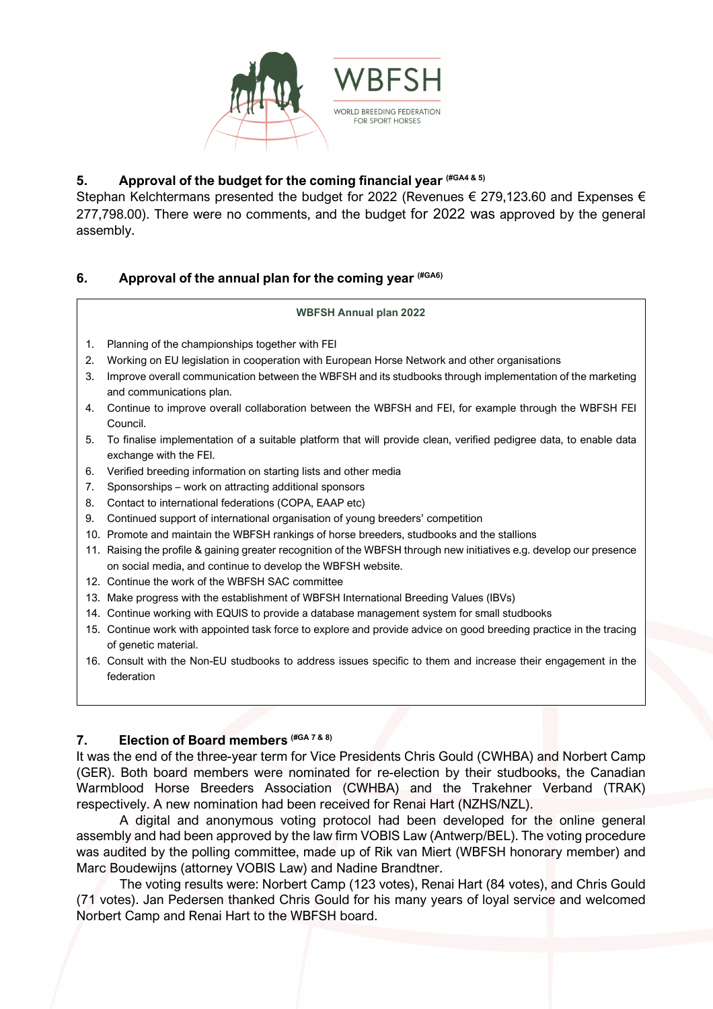

### **5. Approval of the budget for the coming financial year (#GA4 & 5)**

Stephan Kelchtermans presented the budget for 2022 (Revenues € 279,123.60 and Expenses € 277,798.00). There were no comments, and the budget for 2022 was approved by the general assembly.

### **6. Approval of the annual plan for the coming year (#GA6)**

**WBFSH Annual plan 2022** 

- 1. Planning of the championships together with FEI
- 2. Working on EU legislation in cooperation with European Horse Network and other organisations
- 3. Improve overall communication between the WBFSH and its studbooks through implementation of the marketing and communications plan.
- 4. Continue to improve overall collaboration between the WBFSH and FEI, for example through the WBFSH FEI Council.
- 5. To finalise implementation of a suitable platform that will provide clean, verified pedigree data, to enable data exchange with the FEI.
- 6. Verified breeding information on starting lists and other media
- 7. Sponsorships work on attracting additional sponsors
- 8. Contact to international federations (COPA, EAAP etc)
- 9. Continued support of international organisation of young breeders' competition
- 10. Promote and maintain the WBFSH rankings of horse breeders, studbooks and the stallions
- 11. Raising the profile & gaining greater recognition of the WBFSH through new initiatives e.g. develop our presence on social media, and continue to develop the WBFSH website.
- 12. Continue the work of the WBFSH SAC committee
- 13. Make progress with the establishment of WBFSH International Breeding Values (IBVs)
- 14. Continue working with EQUIS to provide a database management system for small studbooks
- 15. Continue work with appointed task force to explore and provide advice on good breeding practice in the tracing of genetic material.
- 16. Consult with the Non-EU studbooks to address issues specific to them and increase their engagement in the federation

### **7. Election of Board members (#GA 7 & 8)**

It was the end of the three-year term for Vice Presidents Chris Gould (CWHBA) and Norbert Camp (GER). Both board members were nominated for re-election by their studbooks, the Canadian Warmblood Horse Breeders Association (CWHBA) and the Trakehner Verband (TRAK) respectively. A new nomination had been received for Renai Hart (NZHS/NZL).

A digital and anonymous voting protocol had been developed for the online general assembly and had been approved by the law firm VOBIS Law (Antwerp/BEL). The voting procedure was audited by the polling committee, made up of Rik van Miert (WBFSH honorary member) and Marc Boudewijns (attorney VOBIS Law) and Nadine Brandtner.

The voting results were: Norbert Camp (123 votes), Renai Hart (84 votes), and Chris Gould (71 votes). Jan Pedersen thanked Chris Gould for his many years of loyal service and welcomed Norbert Camp and Renai Hart to the WBFSH board.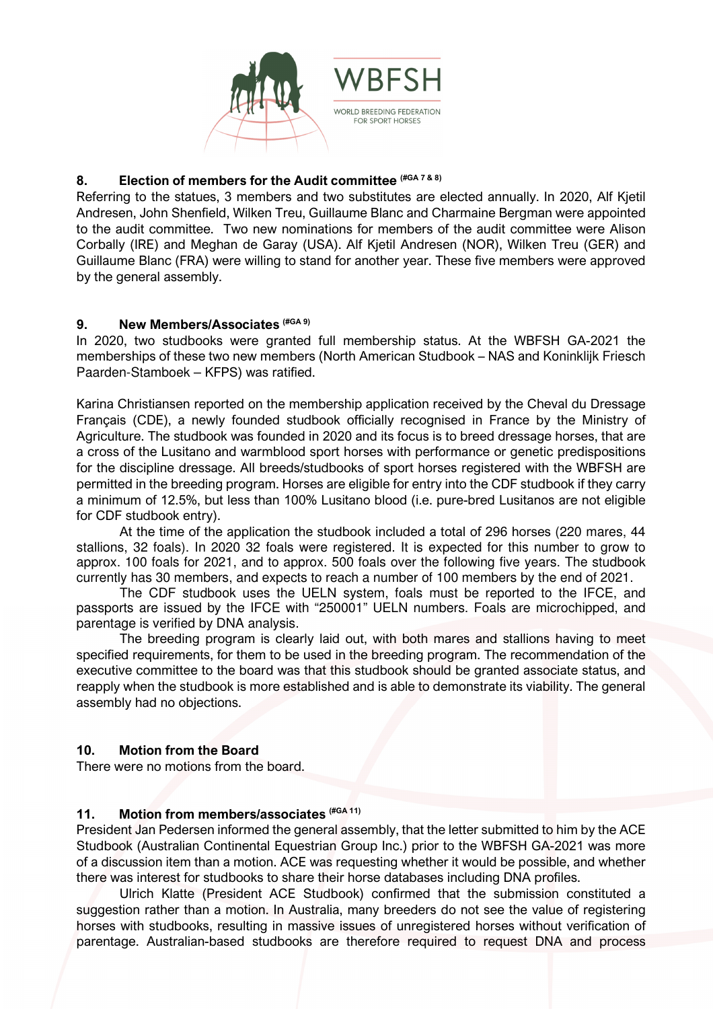

### **8. Election of members for the Audit committee (#GA 7 & 8)**

Referring to the statues, 3 members and two substitutes are elected annually. In 2020, Alf Kjetil Andresen, John Shenfield, Wilken Treu, Guillaume Blanc and Charmaine Bergman were appointed to the audit committee. Two new nominations for members of the audit committee were Alison Corbally (IRE) and Meghan de Garay (USA). Alf Kjetil Andresen (NOR), Wilken Treu (GER) and Guillaume Blanc (FRA) were willing to stand for another year. These five members were approved by the general assembly.

## **9. New Members/Associates (#GA 9)**

In 2020, two studbooks were granted full membership status. At the WBFSH GA-2021 the memberships of these two new members (North American Studbook – NAS and Koninklijk Friesch Paarden-Stamboek – KFPS) was ratified.

Karina Christiansen reported on the membership application received by the Cheval du Dressage Français (CDE), a newly founded studbook officially recognised in France by the Ministry of Agriculture. The studbook was founded in 2020 and its focus is to breed dressage horses, that are a cross of the Lusitano and warmblood sport horses with performance or genetic predispositions for the discipline dressage. All breeds/studbooks of sport horses registered with the WBFSH are permitted in the breeding program. Horses are eligible for entry into the CDF studbook if they carry a minimum of 12.5%, but less than 100% Lusitano blood (i.e. pure-bred Lusitanos are not eligible for CDF studbook entry).

 At the time of the application the studbook included a total of 296 horses (220 mares, 44 stallions, 32 foals). In 2020 32 foals were registered. It is expected for this number to grow to approx. 100 foals for 2021, and to approx. 500 foals over the following five years. The studbook currently has 30 members, and expects to reach a number of 100 members by the end of 2021.

 The CDF studbook uses the UELN system, foals must be reported to the IFCE, and passports are issued by the IFCE with "250001" UELN numbers. Foals are microchipped, and parentage is verified by DNA analysis.

 The breeding program is clearly laid out, with both mares and stallions having to meet specified requirements, for them to be used in the breeding program. The recommendation of the executive committee to the board was that this studbook should be granted associate status, and reapply when the studbook is more established and is able to demonstrate its viability. The general assembly had no objections.

### **10. Motion from the Board**

There were no motions from the board.

### **11. Motion from members/associates (#GA 11)**

President Jan Pedersen informed the general assembly, that the letter submitted to him by the ACE Studbook (Australian Continental Equestrian Group Inc.) prior to the WBFSH GA-2021 was more of a discussion item than a motion. ACE was requesting whether it would be possible, and whether there was interest for studbooks to share their horse databases including DNA profiles.

Ulrich Klatte (President ACE Studbook) confirmed that the submission constituted a suggestion rather than a motion. In Australia, many breeders do not see the value of registering horses with studbooks, resulting in massive issues of unregistered horses without verification of parentage. Australian-based studbooks are therefore required to request DNA and process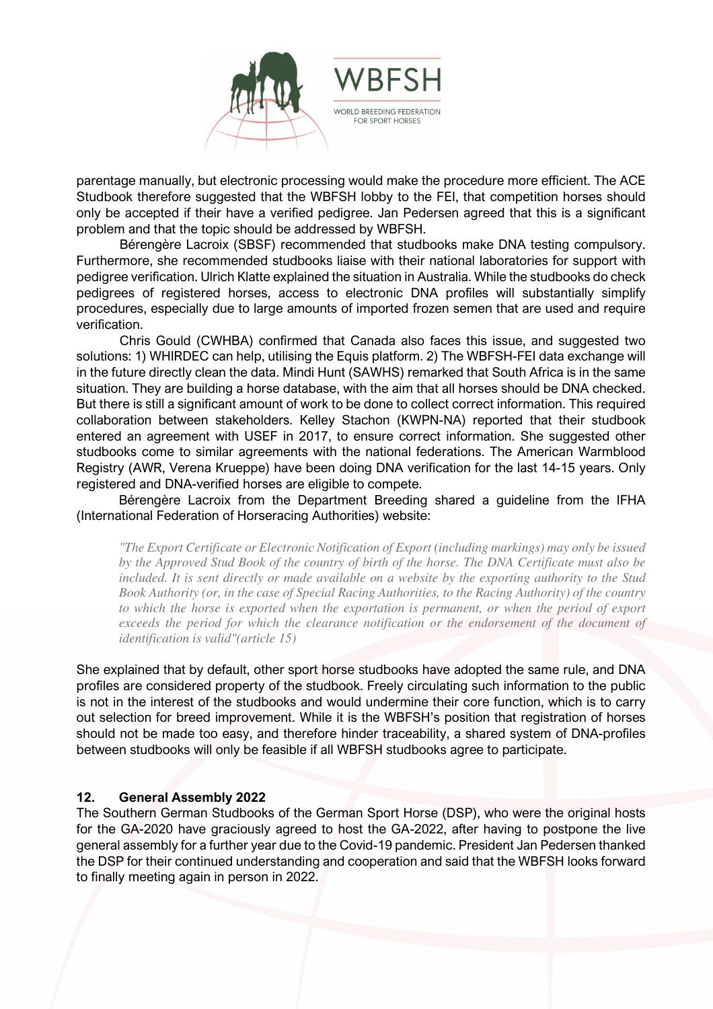

parentage manually, but electronic processing would make the procedure more efficient. The ACE Studbook therefore suggested that the WBFSH lobby to the FEI, that competition horses should only be accepted if their have a verified pedigree. Jan Pedersen agreed that this is a significant problem and that the topic should be addressed by WBFSH.

Bérengère Lacroix (SBSF) recommended that studbooks make DNA testing compulsory. Furthermore, she recommended studbooks liaise with their national laboratories for support with pedigree verification. Ulrich Klatte explained the situation in Australia. While the studbooks do check pedigrees of registered horses, access to electronic DNA profiles will substantially simplify procedures, especially due to large amounts of imported frozen semen that are used and require verification.

Chris Gould (CWHBA) confirmed that Canada also faces this issue, and suggested two solutions: 1) WHIRDEC can help, utilising the Equis platform. 2) The WBFSH-FEI data exchange will in the future directly clean the data. Mindi Hunt (SAWHS) remarked that South Africa is in the same situation. They are building a horse database, with the aim that all horses should be DNA checked. But there is still a significant amount of work to be done to collect correct information. This required collaboration between stakeholders. Kelley Stachon (KWPN-NA) reported that their studbook entered an agreement with USEF in 2017, to ensure correct information. She suggested other studbooks come to similar agreements with the national federations. The American Warmblood Registry (AWR, Verena Krueppe) have been doing DNA verification for the last 14-15 years. Only registered and DNA-verified horses are eligible to compete.

Bérengère Lacroix from the Department Breeding shared a guideline from the IFHA (International Federation of Horseracing Authorities) website:

*"The Export Certificate or Electronic Notification of Export (including markings) may only be issued by the Approved Stud Book of the country of birth of the horse. The DNA Certificate must also be included. It is sent directly or made available on a website by the exporting authority to the Stud Book Authority (or, in the case of Special Racing Authorities, to the Racing Authority) of the country to which the horse is exported when the exportation is permanent, or when the period of export*  exceeds the period for which the clearance notification or the endorsement of the document of *identification is valid"(article 15)* 

She explained that by default, other sport horse studbooks have adopted the same rule, and DNA profiles are considered property of the studbook. Freely circulating such information to the public is not in the interest of the studbooks and would undermine their core function, which is to carry out selection for breed improvement. While it is the WBFSH's position that registration of horses should not be made too easy, and therefore hinder traceability, a shared system of DNA-profiles between studbooks will only be feasible if all WBFSH studbooks agree to participate.

#### **12. General Assembly 2022**

The Southern German Studbooks of the German Sport Horse (DSP), who were the original hosts for the GA-2020 have graciously agreed to host the GA-2022, after having to postpone the live general assembly for a further year due to the Covid-19 pandemic. President Jan Pedersen thanked the DSP for their continued understanding and cooperation and said that the WBFSH looks forward to finally meeting again in person in 2022.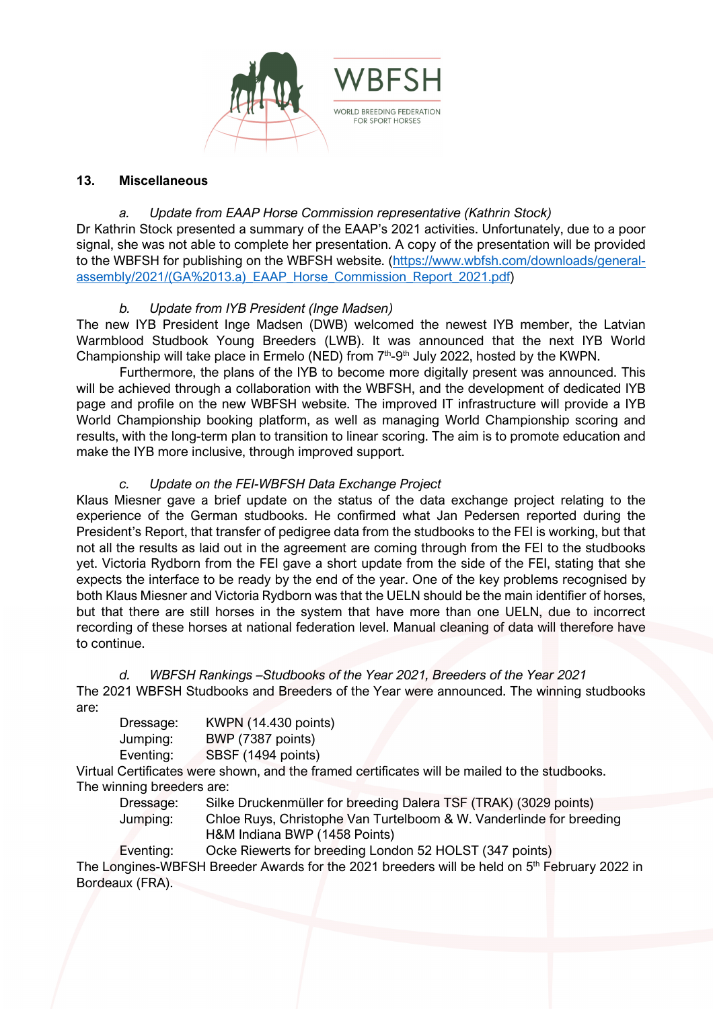

### **13. Miscellaneous**

*a. Update from EAAP Horse Commission representative (Kathrin Stock)*  Dr Kathrin Stock presented a summary of the EAAP's 2021 activities. Unfortunately, due to a poor signal, she was not able to complete her presentation. A copy of the presentation will be provided to the WBFSH for publishing on the WBFSH website. (https://www.wbfsh.com/downloads/generalassembly/2021/(GA%2013.a)\_EAAP\_Horse\_Commission\_Report\_2021.pdf)

### *b. Update from IYB President (Inge Madsen)*

The new IYB President Inge Madsen (DWB) welcomed the newest IYB member, the Latvian Warmblood Studbook Young Breeders (LWB). It was announced that the next IYB World Championship will take place in Ermelo (NED) from  $7<sup>th</sup>$ -9<sup>th</sup> July 2022, hosted by the KWPN.

Furthermore, the plans of the IYB to become more digitally present was announced. This will be achieved through a collaboration with the WBFSH, and the development of dedicated IYB page and profile on the new WBFSH website. The improved IT infrastructure will provide a IYB World Championship booking platform, as well as managing World Championship scoring and results, with the long-term plan to transition to linear scoring. The aim is to promote education and make the IYB more inclusive, through improved support.

### *c. Update on the FEI-WBFSH Data Exchange Project*

Klaus Miesner gave a brief update on the status of the data exchange project relating to the experience of the German studbooks. He confirmed what Jan Pedersen reported during the President's Report, that transfer of pedigree data from the studbooks to the FEI is working, but that not all the results as laid out in the agreement are coming through from the FEI to the studbooks yet. Victoria Rydborn from the FEI gave a short update from the side of the FEI, stating that she expects the interface to be ready by the end of the year. One of the key problems recognised by both Klaus Miesner and Victoria Rydborn was that the UELN should be the main identifier of horses, but that there are still horses in the system that have more than one UELN, due to incorrect recording of these horses at national federation level. Manual cleaning of data will therefore have to continue.

*d. WBFSH Rankings –Studbooks of the Year 2021, Breeders of the Year 2021*  The 2021 WBFSH Studbooks and Breeders of the Year were announced. The winning studbooks are:

| Dressage: | <b>KWPN (14.430 points)</b> |
|-----------|-----------------------------|
| Jumping:  | BWP (7387 points)           |
| Eventing: | SBSF (1494 points)          |
|           |                             |

Virtual Certificates were shown, and the framed certificates will be mailed to the studbooks. The winning breeders are:

 Dressage: Silke Druckenmüller for breeding Dalera TSF (TRAK) (3029 points) Jumping: Chloe Ruys, Christophe Van Turtelboom & W. Vanderlinde for breeding H&M Indiana BWP (1458 Points)

 Eventing: Ocke Riewerts for breeding London 52 HOLST (347 points) The Longines-WBFSH Breeder Awards for the 2021 breeders will be held on 5<sup>th</sup> February 2022 in Bordeaux (FRA).